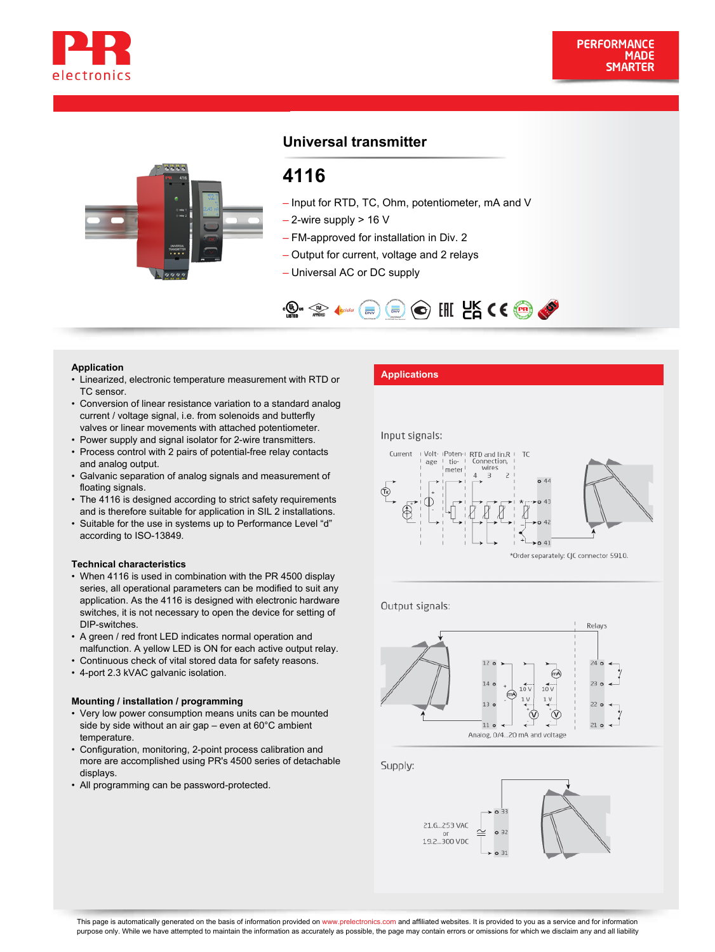



# **Universal transmitter**

# **4116**

- Input for RTD, TC, Ohm, potentiometer, mA and V
- $-$  2-wire supply  $> 16$  V
- FM-approved for installation in Div. 2
- Output for current, voltage and 2 relays
- Universal AC or DC supply



- Application<br>• Linearized, electronic temperature measurement with RTD or **Applications** TC sensor.
- Conversion of linear resistance variation to a standard analog current / voltage signal, i.e. from solenoids and butterfly valves or linear movements with attached potentiometer.
- Power supply and signal isolator for 2-wire transmitters.
- Process control with 2 pairs of potential-free relay contacts and analog output.
- Galvanic separation of analog signals and measurement of floating signals.
- The 4116 is designed according to strict safety requirements and is therefore suitable for application in SIL 2 installations.
- Suitable for the use in systems up to Performance Level "d" according to ISO-13849.

#### **Technical characteristics**

- When 4116 is used in combination with the PR 4500 display series, all operational parameters can be modified to suit any application. As the 4116 is designed with electronic hardware switches, it is not necessary to open the device for setting of DIP-switches.
- A green / red front LED indicates normal operation and malfunction. A yellow LED is ON for each active output relay.
- Continuous check of vital stored data for safety reasons.
- 4-port 2.3 kVAC galvanic isolation.

#### **Mounting / installation / programming**

- Very low power consumption means units can be mounted side by side without an air gap – even at 60°C ambient temperature.
- Configuration, monitoring, 2-point process calibration and more are accomplished using PR's 4500 series of detachable displays.
- All programming can be password-protected.

#### Input signals:



Output signals:



Supply:

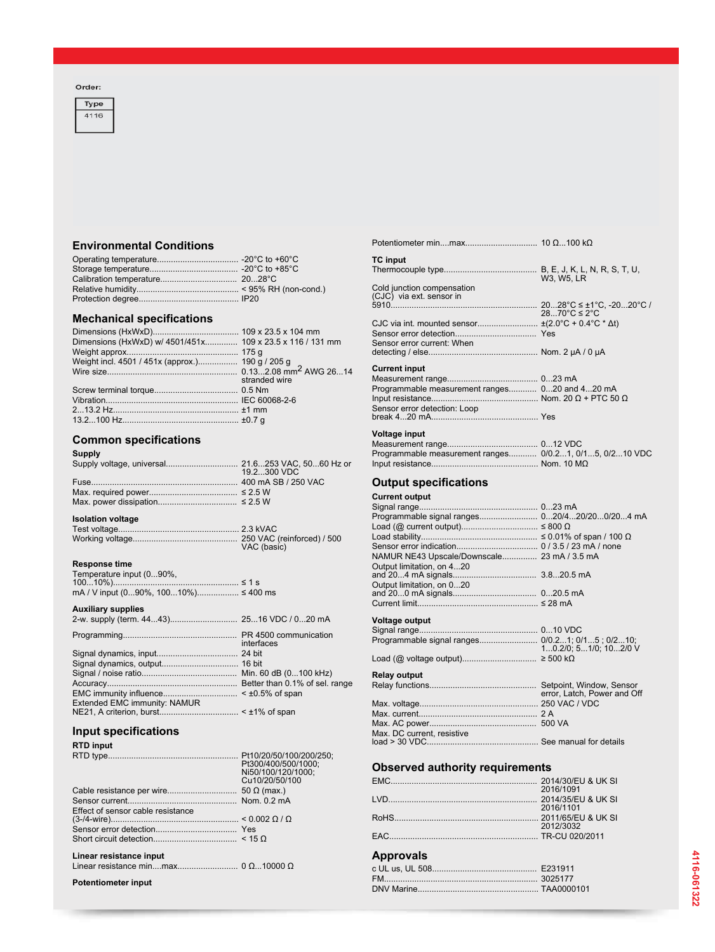#### Order:



# **Environmental Conditions**

## **Mechanical specifications**

| Dimensions (HxWxD) w/ 4501/451x 109 x 23.5 x 116 / 131 mm |               |
|-----------------------------------------------------------|---------------|
|                                                           |               |
| Weight incl. 4501 / 451x (approx.) 190 g / 205 g          |               |
|                                                           |               |
|                                                           | stranded wire |
|                                                           |               |
|                                                           |               |
|                                                           |               |
|                                                           |               |
|                                                           |               |

### **Common specifications**

| <b>Supply</b> |              |
|---------------|--------------|
|               |              |
|               | 19.2.300 VDC |
|               |              |
|               |              |
|               |              |

# **Isolation voltage**

| VAC (basic) |
|-------------|

#### **Response time**

| Temperature input (090%,             |  |
|--------------------------------------|--|
|                                      |  |
| mA / V input (090%, 10010%) ≤ 400 ms |  |

#### **Auxiliary supplies**

| interfaces |
|------------|
|            |

Signal dynamics, output................................. 16 bit Signal / noise ratio......................................... Min. 60 dB (0...100 kHz) Accuracy........................................................ Better than 0.1% of sel. range EMC immunity influence................................ < ±0.5% of span Extended EMC immunity: NAMUR NE21, A criterion, burst.................................. < ±1% of span

### **Input specifications**

**RTD** in

| KTD IIIput                        |                     |
|-----------------------------------|---------------------|
|                                   |                     |
|                                   | Pt300/400/500/1000; |
|                                   | Ni50/100/120/1000;  |
|                                   | Cu10/20/50/100      |
|                                   |                     |
|                                   |                     |
| Effect of sensor cable resistance |                     |
|                                   |                     |
|                                   |                     |
|                                   |                     |
| Linear resistance input           |                     |
|                                   |                     |
|                                   |                     |
|                                   |                     |

**Potentiometer input**

| <b>TC</b> input                                |                                 |
|------------------------------------------------|---------------------------------|
|                                                | W3. W5. LR                      |
| Cold junction compensation                     |                                 |
| (CJC) via ext. sensor in                       |                                 |
|                                                | $2870^{\circ}C \leq 2^{\circ}C$ |
|                                                |                                 |
|                                                |                                 |
| Sensor error current: When                     |                                 |
|                                                |                                 |
| <b>Current input</b>                           |                                 |
|                                                |                                 |
|                                                |                                 |
| Programmable measurement ranges 020 and 420 mA |                                 |
|                                                |                                 |
| Sensor error detection: Loop                   |                                 |
|                                                |                                 |
|                                                |                                 |

Potentiometer min....max............................... 10 Ω...100 kΩ

| Voltage input                                           |  |
|---------------------------------------------------------|--|
|                                                         |  |
| Programmable measurement ranges 0/0.21, 0/15, 0/210 VDC |  |
|                                                         |  |

### **Output specifications**

### **Current output**

| Programmable signal ranges 020/420/200/204 mA   |                             |
|-------------------------------------------------|-----------------------------|
|                                                 |                             |
|                                                 |                             |
|                                                 |                             |
| NAMUR NE43 Upscale/Downscale 23 mA / 3.5 mA     |                             |
| Output limitation, on 420                       |                             |
|                                                 |                             |
| Output limitation, on 020                       |                             |
|                                                 |                             |
|                                                 |                             |
|                                                 |                             |
| <b>Voltage output</b>                           |                             |
|                                                 |                             |
| Programmable signal ranges 0/0.21; 0/15; 0/210; |                             |
|                                                 | 10.2/0, 51/0, 102/0 V       |
|                                                 |                             |
| <b>Relay output</b>                             |                             |
|                                                 |                             |
|                                                 | error, Latch, Power and Off |
|                                                 |                             |
|                                                 |                             |
|                                                 |                             |
|                                                 |                             |
| Max. DC current, resistive                      |                             |
|                                                 |                             |

# **Observed authority requirements**

| 2016/1091 |
|-----------|
|           |
| 2016/1101 |
|           |
| 2012/3032 |
|           |

# **Approvals**